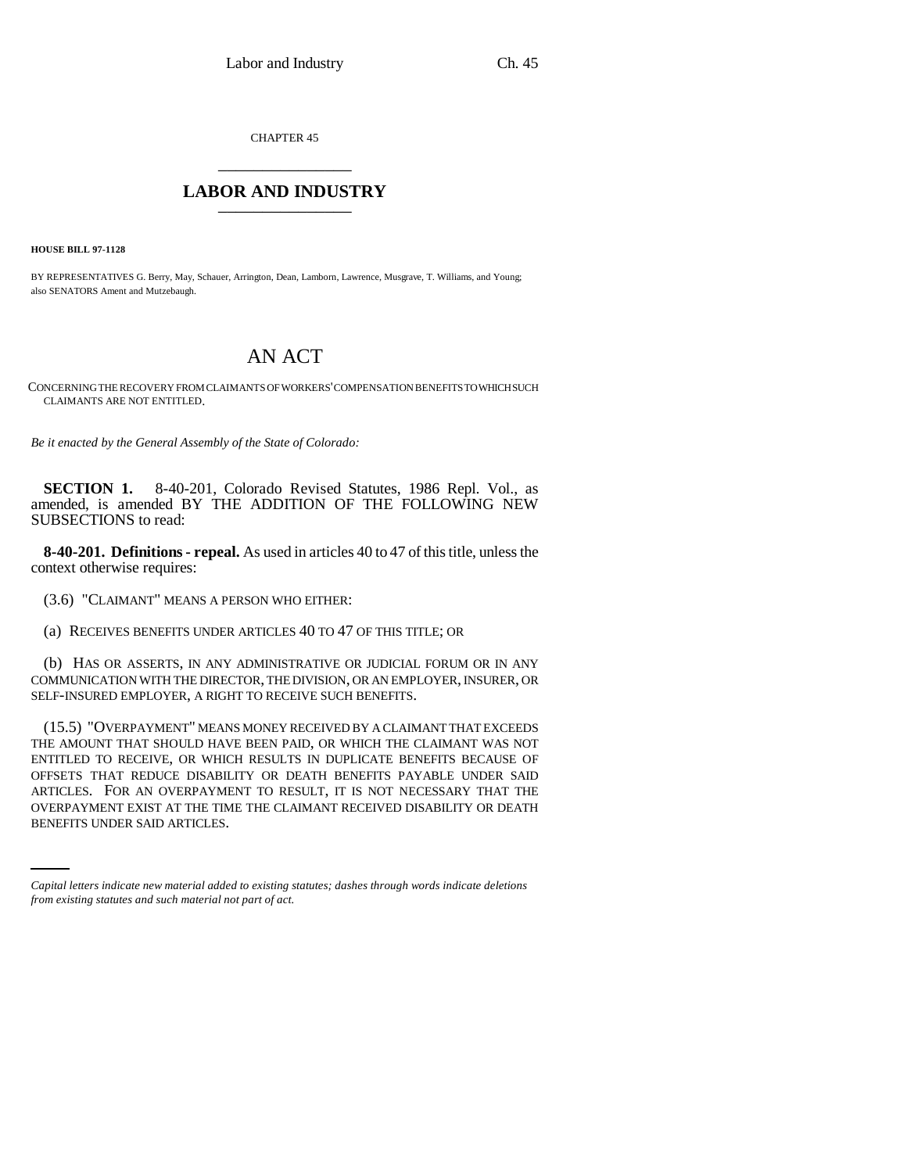CHAPTER 45 \_\_\_\_\_\_\_\_\_\_\_\_\_\_\_

## **LABOR AND INDUSTRY** \_\_\_\_\_\_\_\_\_\_\_\_\_\_\_

**HOUSE BILL 97-1128**

BY REPRESENTATIVES G. Berry, May, Schauer, Arrington, Dean, Lamborn, Lawrence, Musgrave, T. Williams, and Young; also SENATORS Ament and Mutzebaugh.

## AN ACT

CONCERNING THE RECOVERY FROM CLAIMANTS OF WORKERS' COMPENSATION BENEFITS TO WHICH SUCH CLAIMANTS ARE NOT ENTITLED.

*Be it enacted by the General Assembly of the State of Colorado:*

**SECTION 1.** 8-40-201, Colorado Revised Statutes, 1986 Repl. Vol., as amended, is amended BY THE ADDITION OF THE FOLLOWING NEW SUBSECTIONS to read:

**8-40-201. Definitions - repeal.** As used in articles 40 to 47 of this title, unless the context otherwise requires:

(3.6) "CLAIMANT" MEANS A PERSON WHO EITHER:

(a) RECEIVES BENEFITS UNDER ARTICLES 40 TO 47 OF THIS TITLE; OR

(b) HAS OR ASSERTS, IN ANY ADMINISTRATIVE OR JUDICIAL FORUM OR IN ANY COMMUNICATION WITH THE DIRECTOR, THE DIVISION, OR AN EMPLOYER, INSURER, OR SELF-INSURED EMPLOYER, A RIGHT TO RECEIVE SUCH BENEFITS.

ARTICLES. FOR AN OVERPAYMENT TO RESULT, IT IS NOT NECESSARY THAT THE (15.5) "OVERPAYMENT" MEANS MONEY RECEIVED BY A CLAIMANT THAT EXCEEDS THE AMOUNT THAT SHOULD HAVE BEEN PAID, OR WHICH THE CLAIMANT WAS NOT ENTITLED TO RECEIVE, OR WHICH RESULTS IN DUPLICATE BENEFITS BECAUSE OF OFFSETS THAT REDUCE DISABILITY OR DEATH BENEFITS PAYABLE UNDER SAID OVERPAYMENT EXIST AT THE TIME THE CLAIMANT RECEIVED DISABILITY OR DEATH BENEFITS UNDER SAID ARTICLES.

*Capital letters indicate new material added to existing statutes; dashes through words indicate deletions from existing statutes and such material not part of act.*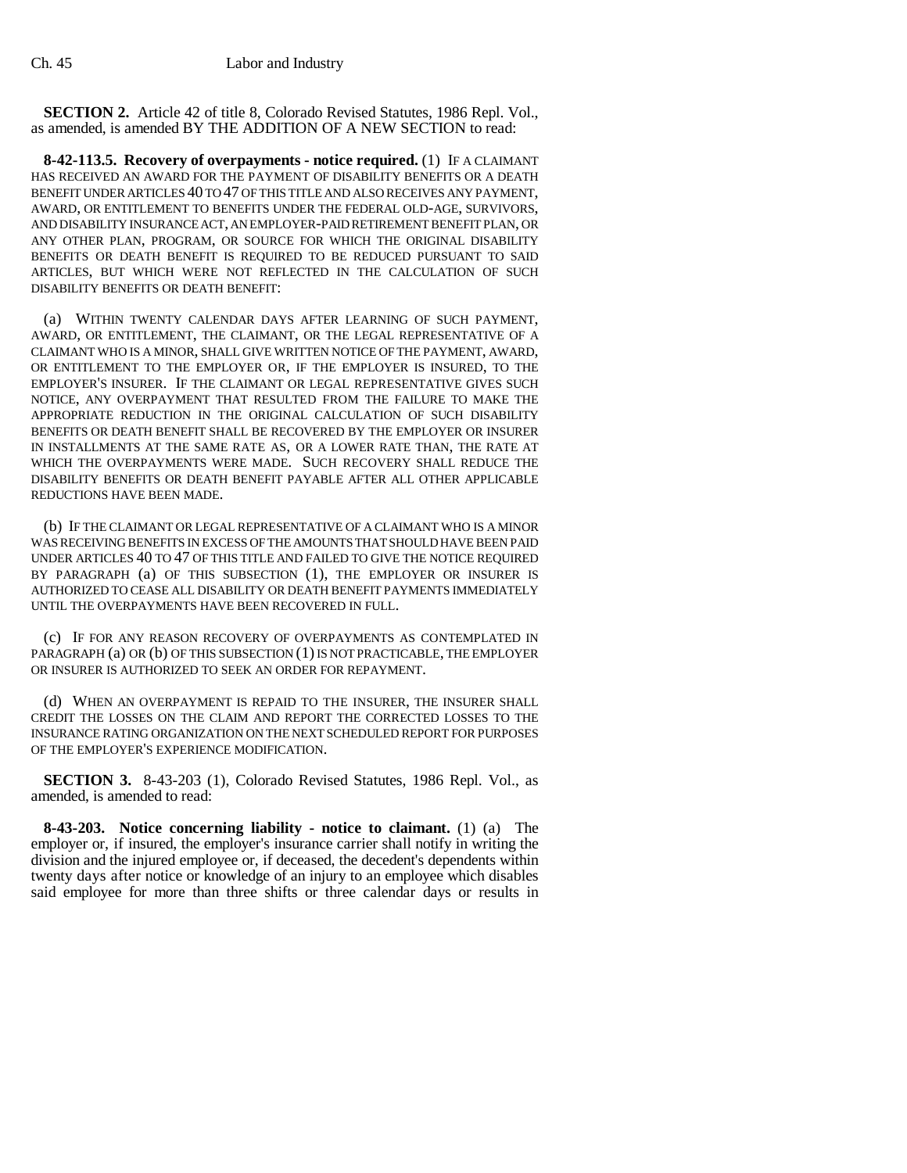**SECTION 2.** Article 42 of title 8, Colorado Revised Statutes, 1986 Repl. Vol., as amended, is amended BY THE ADDITION OF A NEW SECTION to read:

**8-42-113.5. Recovery of overpayments - notice required.** (1) IF A CLAIMANT HAS RECEIVED AN AWARD FOR THE PAYMENT OF DISABILITY BENEFITS OR A DEATH BENEFIT UNDER ARTICLES 40 TO 47 OF THIS TITLE AND ALSO RECEIVES ANY PAYMENT, AWARD, OR ENTITLEMENT TO BENEFITS UNDER THE FEDERAL OLD-AGE, SURVIVORS, AND DISABILITY INSURANCE ACT, AN EMPLOYER-PAID RETIREMENT BENEFIT PLAN, OR ANY OTHER PLAN, PROGRAM, OR SOURCE FOR WHICH THE ORIGINAL DISABILITY BENEFITS OR DEATH BENEFIT IS REQUIRED TO BE REDUCED PURSUANT TO SAID ARTICLES, BUT WHICH WERE NOT REFLECTED IN THE CALCULATION OF SUCH DISABILITY BENEFITS OR DEATH BENEFIT:

(a) WITHIN TWENTY CALENDAR DAYS AFTER LEARNING OF SUCH PAYMENT, AWARD, OR ENTITLEMENT, THE CLAIMANT, OR THE LEGAL REPRESENTATIVE OF A CLAIMANT WHO IS A MINOR, SHALL GIVE WRITTEN NOTICE OF THE PAYMENT, AWARD, OR ENTITLEMENT TO THE EMPLOYER OR, IF THE EMPLOYER IS INSURED, TO THE EMPLOYER'S INSURER. IF THE CLAIMANT OR LEGAL REPRESENTATIVE GIVES SUCH NOTICE, ANY OVERPAYMENT THAT RESULTED FROM THE FAILURE TO MAKE THE APPROPRIATE REDUCTION IN THE ORIGINAL CALCULATION OF SUCH DISABILITY BENEFITS OR DEATH BENEFIT SHALL BE RECOVERED BY THE EMPLOYER OR INSURER IN INSTALLMENTS AT THE SAME RATE AS, OR A LOWER RATE THAN, THE RATE AT WHICH THE OVERPAYMENTS WERE MADE. SUCH RECOVERY SHALL REDUCE THE DISABILITY BENEFITS OR DEATH BENEFIT PAYABLE AFTER ALL OTHER APPLICABLE REDUCTIONS HAVE BEEN MADE.

(b) IF THE CLAIMANT OR LEGAL REPRESENTATIVE OF A CLAIMANT WHO IS A MINOR WAS RECEIVING BENEFITS IN EXCESS OF THE AMOUNTS THAT SHOULD HAVE BEEN PAID UNDER ARTICLES 40 TO 47 OF THIS TITLE AND FAILED TO GIVE THE NOTICE REQUIRED BY PARAGRAPH (a) OF THIS SUBSECTION (1), THE EMPLOYER OR INSURER IS AUTHORIZED TO CEASE ALL DISABILITY OR DEATH BENEFIT PAYMENTS IMMEDIATELY UNTIL THE OVERPAYMENTS HAVE BEEN RECOVERED IN FULL.

(c) IF FOR ANY REASON RECOVERY OF OVERPAYMENTS AS CONTEMPLATED IN PARAGRAPH (a) OR (b) OF THIS SUBSECTION (1) IS NOT PRACTICABLE, THE EMPLOYER OR INSURER IS AUTHORIZED TO SEEK AN ORDER FOR REPAYMENT.

(d) WHEN AN OVERPAYMENT IS REPAID TO THE INSURER, THE INSURER SHALL CREDIT THE LOSSES ON THE CLAIM AND REPORT THE CORRECTED LOSSES TO THE INSURANCE RATING ORGANIZATION ON THE NEXT SCHEDULED REPORT FOR PURPOSES OF THE EMPLOYER'S EXPERIENCE MODIFICATION.

**SECTION 3.** 8-43-203 (1), Colorado Revised Statutes, 1986 Repl. Vol., as amended, is amended to read:

**8-43-203. Notice concerning liability - notice to claimant.** (1) (a) The employer or, if insured, the employer's insurance carrier shall notify in writing the division and the injured employee or, if deceased, the decedent's dependents within twenty days after notice or knowledge of an injury to an employee which disables said employee for more than three shifts or three calendar days or results in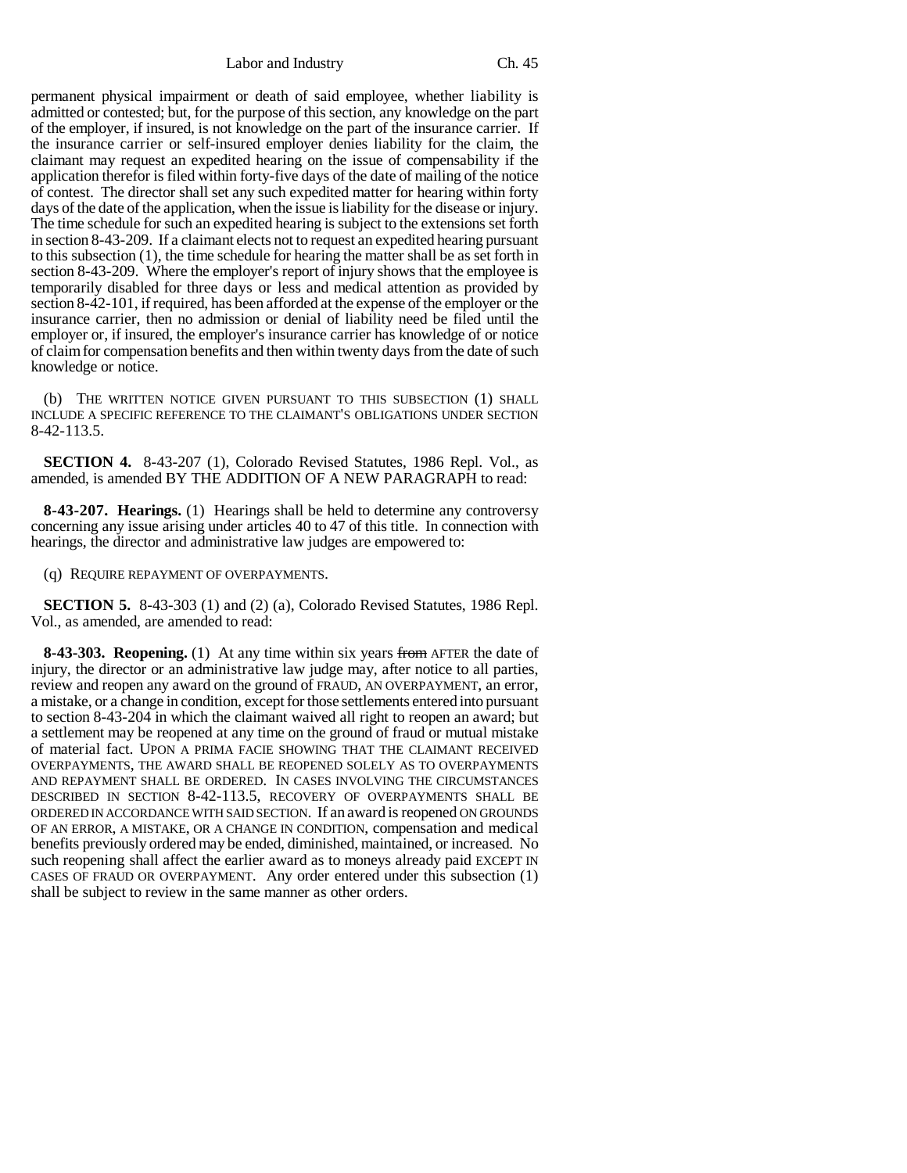Labor and Industry Ch. 45

permanent physical impairment or death of said employee, whether liability is admitted or contested; but, for the purpose of this section, any knowledge on the part of the employer, if insured, is not knowledge on the part of the insurance carrier. If the insurance carrier or self-insured employer denies liability for the claim, the claimant may request an expedited hearing on the issue of compensability if the application therefor is filed within forty-five days of the date of mailing of the notice of contest. The director shall set any such expedited matter for hearing within forty days of the date of the application, when the issue is liability for the disease or injury. The time schedule for such an expedited hearing is subject to the extensions set forth in section 8-43-209. If a claimant elects not to request an expedited hearing pursuant to this subsection (1), the time schedule for hearing the matter shall be as set forth in section 8-43-209. Where the employer's report of injury shows that the employee is temporarily disabled for three days or less and medical attention as provided by section 8-42-101, if required, has been afforded at the expense of the employer or the insurance carrier, then no admission or denial of liability need be filed until the employer or, if insured, the employer's insurance carrier has knowledge of or notice of claim for compensation benefits and then within twenty days from the date of such knowledge or notice.

(b) THE WRITTEN NOTICE GIVEN PURSUANT TO THIS SUBSECTION (1) SHALL INCLUDE A SPECIFIC REFERENCE TO THE CLAIMANT'S OBLIGATIONS UNDER SECTION 8-42-113.5.

**SECTION 4.** 8-43-207 (1), Colorado Revised Statutes, 1986 Repl. Vol., as amended, is amended BY THE ADDITION OF A NEW PARAGRAPH to read:

**8-43-207. Hearings.** (1) Hearings shall be held to determine any controversy concerning any issue arising under articles 40 to 47 of this title. In connection with hearings, the director and administrative law judges are empowered to:

(q) REQUIRE REPAYMENT OF OVERPAYMENTS.

**SECTION 5.** 8-43-303 (1) and (2) (a), Colorado Revised Statutes, 1986 Repl. Vol., as amended, are amended to read:

**8-43-303. Reopening.** (1) At any time within six years from AFTER the date of injury, the director or an administrative law judge may, after notice to all parties, review and reopen any award on the ground of FRAUD, AN OVERPAYMENT, an error, a mistake, or a change in condition, except for those settlements entered into pursuant to section 8-43-204 in which the claimant waived all right to reopen an award; but a settlement may be reopened at any time on the ground of fraud or mutual mistake of material fact. UPON A PRIMA FACIE SHOWING THAT THE CLAIMANT RECEIVED OVERPAYMENTS, THE AWARD SHALL BE REOPENED SOLELY AS TO OVERPAYMENTS AND REPAYMENT SHALL BE ORDERED. IN CASES INVOLVING THE CIRCUMSTANCES DESCRIBED IN SECTION 8-42-113.5, RECOVERY OF OVERPAYMENTS SHALL BE ORDERED IN ACCORDANCE WITH SAID SECTION. If an award is reopened ON GROUNDS OF AN ERROR, A MISTAKE, OR A CHANGE IN CONDITION, compensation and medical benefits previously ordered may be ended, diminished, maintained, or increased. No such reopening shall affect the earlier award as to moneys already paid EXCEPT IN CASES OF FRAUD OR OVERPAYMENT. Any order entered under this subsection (1) shall be subject to review in the same manner as other orders.